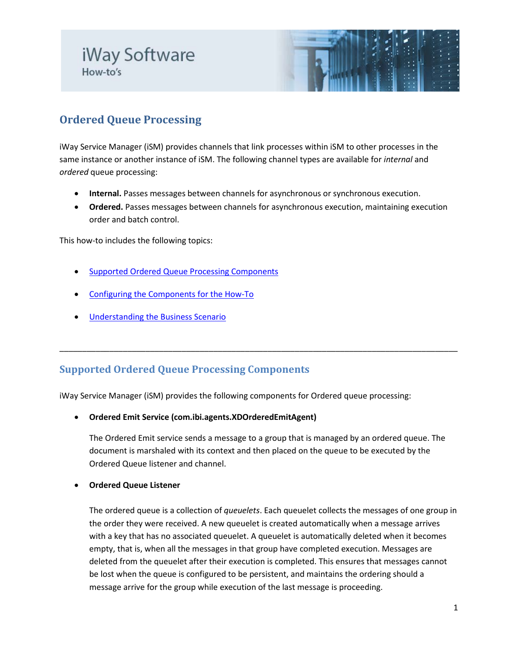# iWay Software How-to's



## **Ordered Queue Processing**

iWay Service Manager (iSM) provides channels that link processes within iSM to other processes in the same instance or another instance of iSM. The following channel types are available for *internal* and *ordered* queue processing:

- **Internal.** Passes messages between channels for asynchronous or synchronous execution.
- **Ordered.** Passes messages between channels for asynchronous execution, maintaining execution order and batch control.

This how-to includes the following topics:

- [Supported Ordered Queue Processing Components](#page-0-0)
- [Configuring the Components for the How-To](#page-1-0)
- **[Understanding the Business Scenario](#page-5-0)**

## <span id="page-0-0"></span>**Supported Ordered Queue Processing Components**

iWay Service Manager (iSM) provides the following components for Ordered queue processing:

• **Ordered Emit Service (com.ibi.agents.XDOrderedEmitAgent)**

The Ordered Emit service sends a message to a group that is managed by an ordered queue. The document is marshaled with its context and then placed on the queue to be executed by the Ordered Queue listener and channel.

\_\_\_\_\_\_\_\_\_\_\_\_\_\_\_\_\_\_\_\_\_\_\_\_\_\_\_\_\_\_\_\_\_\_\_\_\_\_\_\_\_\_\_\_\_\_\_\_\_\_\_\_\_\_\_\_\_\_\_\_\_\_\_\_\_\_\_\_\_\_\_\_\_\_\_\_\_\_\_\_\_\_\_\_\_\_\_\_

### • **Ordered Queue Listener**

The ordered queue is a collection of *queuelets*. Each queuelet collects the messages of one group in the order they were received. A new queuelet is created automatically when a message arrives with a key that has no associated queuelet. A queuelet is automatically deleted when it becomes empty, that is, when all the messages in that group have completed execution. Messages are deleted from the queuelet after their execution is completed. This ensures that messages cannot be lost when the queue is configured to be persistent, and maintains the ordering should a message arrive for the group while execution of the last message is proceeding.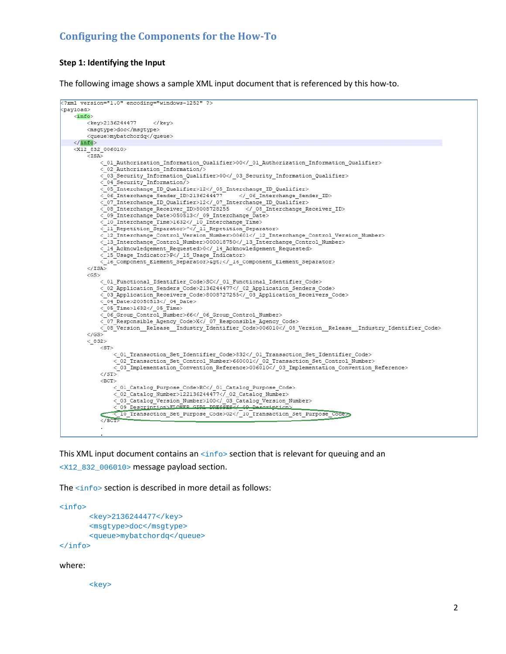## <span id="page-1-0"></span>**Configuring the Components for the How-To**

#### **Step 1: Identifying the Input**

The following image shows a sample XML input document that is referenced by this how-to.

```
<?xml version="1.0" encoding="windows-1252" ?>
<payload>
    \langleinfo\rangle<key>2136244477
                            \langle/kev>
        <msqtype>doc</msqtype>
        <gueue>mvbatchordg</gueue>
   \langle /info>
    \frac{1}{2} (X12_832_006010>
        <ISA>
            < 01 Authorization Information Qualifier>00</ 01 Authorization Information Qualifier>
            < 02 Authorization Information/>
            < 03_Security_Information_Qualifier>00</_03_Security_Information_Qualifier>
            <-04 Security Information/>
            <_05_Interchange_ID_Qualifier>12</_05_Interchange_ID_Qualifier>
            < 06 Interchange Sender ID>2136244477
                                                        </_06_Interchange_Sender_ID>
            \overline{<}07_Interchange_ID_Qualifier>12</_07_Interchange_ID_Qualifier>
            < 08 Interchange Receiver ID>8008728255
                                                           </_08_Interchange_Receiver_ID>
            < 09 Interchange Date>050513</ 09 Interchange Date>
            \langle 10 Interchange Time>1632</ 10 Interchange Time>
            < 11 Repetition Separator>^</ 11 Repetition Separator>
            <_12_Interchange_Control_Version_Number>00601</_12_Interchange_Control_Version_Number>
            <_13_Interchange_Control_Number>000018750</_13_Interchange_Control_Number>
            < 14 Acknowledgement Requested>0</ 14 Acknowledgement Requested>
            <_15_Usage_Indicator>P</_15_Usage_Indicator>
            < 16 Component Element Separator>&gt;</ 16 Component Element Separator>
        \langle/ISA>
        <GS>
            < 01 Functional Identifier Code>SC</ 01 Functional Identifier Code>
            <_02_Application_Senders_Code>2136244477</_02_Application_Senders_Code><br><_03_Application_Senders_Code>2136244477</_02_Application_Senders_Code><br><_03_Application_Receivers_Code>8008727255</_03_Application_Receivers_Code>
            < 04 Date>20050513</ 04 Date><br>< 05 Time>1632</ 05 Time>
            \langle/GS>
        < 832<ST>
                <_03_Implementation_Convention_Reference>006010</_03_Implementation_Convention_Reference>
            \langle/ST>
            <BCT><_01_Catalog_Purpose_Code>RC</_01_Catalog_Purpose_Code>
                 <_02_Catalog_Number>122136244477</_02_Catalog_Number>
                 < 03 Catalog Version_Number>100</ 03 Catalog Version_Number>
                 < 09 Description>FLOWER GIRL DRESES </ 00 Description><br>< 10 Transaction_Set_Purpose_Code>02</ 10 Transaction_Set_Purpose_Code>
            </BCT
```
This XML input document contains an  $\langle$ info> section that is relevant for queuing and an <X12\_832\_006010> message payload section.

The <info> section is described in more detail as follows:

```
<info>
       <key>2136244477</key>
       <msgtype>doc</msgtype>
       <queue>mybatchordq</queue>
</info>
```
where:

<key>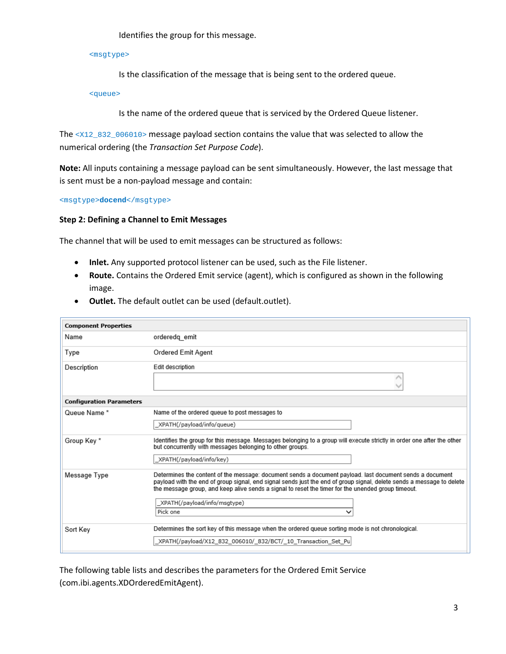Identifies the group for this message.

<msgtype>

Is the classification of the message that is being sent to the ordered queue.

<queue>

Is the name of the ordered queue that is serviced by the Ordered Queue listener.

The <X12\_832\_006010> message payload section contains the value that was selected to allow the numerical ordering (the *Transaction Set Purpose Code*).

**Note:** All inputs containing a message payload can be sent simultaneously. However, the last message that is sent must be a non-payload message and contain:

<msgtype>**docend**</msgtype>

#### **Step 2: Defining a Channel to Emit Messages**

The channel that will be used to emit messages can be structured as follows:

- **Inlet.** Any supported protocol listener can be used, such as the File listener.
- **Route.** Contains the Ordered Emit service (agent), which is configured as shown in the following image.
- **Outlet.** The default outlet can be used (default.outlet).

| <b>Component Properties</b>     |                                                                                                                                                                                                                                                                                                                                         |  |
|---------------------------------|-----------------------------------------------------------------------------------------------------------------------------------------------------------------------------------------------------------------------------------------------------------------------------------------------------------------------------------------|--|
| Name                            | orderedq_emit                                                                                                                                                                                                                                                                                                                           |  |
| Type                            | Ordered Emit Agent                                                                                                                                                                                                                                                                                                                      |  |
| Description                     | Edit description                                                                                                                                                                                                                                                                                                                        |  |
|                                 |                                                                                                                                                                                                                                                                                                                                         |  |
| <b>Configuration Parameters</b> |                                                                                                                                                                                                                                                                                                                                         |  |
| Queue Name*                     | Name of the ordered queue to post messages to                                                                                                                                                                                                                                                                                           |  |
|                                 | XPATH(/payload/info/queue)                                                                                                                                                                                                                                                                                                              |  |
| Group Key*                      | Identifies the group for this message. Messages belonging to a group will execute strictly in order one after the other<br>but concurrently with messages belonging to other groups.                                                                                                                                                    |  |
|                                 | XPATH(/payload/info/key)                                                                                                                                                                                                                                                                                                                |  |
| Message Type                    | Determines the content of the message: document sends a document payload. last document sends a document<br>payload with the end of group signal, end signal sends just the end of group signal, delete sends a message to delete<br>the message group, and keep alive sends a signal to reset the timer for the unended group timeout. |  |
|                                 | XPATH(/payload/info/msqtype)                                                                                                                                                                                                                                                                                                            |  |
|                                 | Pick one<br>◡                                                                                                                                                                                                                                                                                                                           |  |
| Sort Key                        | Determines the sort key of this message when the ordered queue sorting mode is not chronological.                                                                                                                                                                                                                                       |  |
|                                 | XPATH(/payload/X12 832 006010/ 832/BCT/ 10 Transaction Set Pu                                                                                                                                                                                                                                                                           |  |

The following table lists and describes the parameters for the Ordered Emit Service (com.ibi.agents.XDOrderedEmitAgent).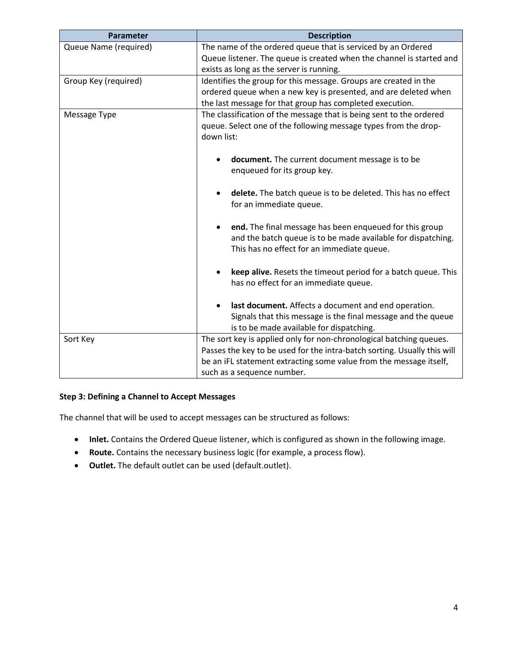| Parameter             | <b>Description</b>                                                       |
|-----------------------|--------------------------------------------------------------------------|
| Queue Name (required) | The name of the ordered queue that is serviced by an Ordered             |
|                       | Queue listener. The queue is created when the channel is started and     |
|                       | exists as long as the server is running.                                 |
| Group Key (required)  | Identifies the group for this message. Groups are created in the         |
|                       | ordered queue when a new key is presented, and are deleted when          |
|                       | the last message for that group has completed execution.                 |
| Message Type          | The classification of the message that is being sent to the ordered      |
|                       | queue. Select one of the following message types from the drop-          |
|                       | down list:                                                               |
|                       | document. The current document message is to be                          |
|                       | enqueued for its group key.                                              |
|                       |                                                                          |
|                       | delete. The batch queue is to be deleted. This has no effect             |
|                       | for an immediate queue.                                                  |
|                       |                                                                          |
|                       | end. The final message has been enqueued for this group<br>$\bullet$     |
|                       | and the batch queue is to be made available for dispatching.             |
|                       | This has no effect for an immediate queue.                               |
|                       |                                                                          |
|                       | keep alive. Resets the timeout period for a batch queue. This            |
|                       | has no effect for an immediate queue.                                    |
|                       | last document. Affects a document and end operation.                     |
|                       | Signals that this message is the final message and the queue             |
|                       | is to be made available for dispatching.                                 |
| Sort Key              | The sort key is applied only for non-chronological batching queues.      |
|                       | Passes the key to be used for the intra-batch sorting. Usually this will |
|                       | be an iFL statement extracting some value from the message itself,       |
|                       | such as a sequence number.                                               |

## **Step 3: Defining a Channel to Accept Messages**

The channel that will be used to accept messages can be structured as follows:

- **Inlet.** Contains the Ordered Queue listener, which is configured as shown in the following image.
- **Route.** Contains the necessary business logic (for example, a process flow).
- **Outlet.** The default outlet can be used (default.outlet).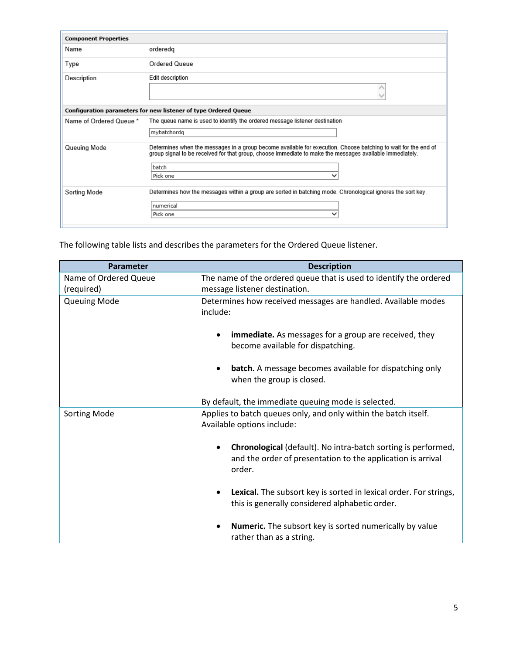| <b>Component Properties</b>                                     |                                                                                                                                                                                                                                                 |  |  |  |
|-----------------------------------------------------------------|-------------------------------------------------------------------------------------------------------------------------------------------------------------------------------------------------------------------------------------------------|--|--|--|
| Name                                                            | orderedg                                                                                                                                                                                                                                        |  |  |  |
| Type                                                            | <b>Ordered Queue</b>                                                                                                                                                                                                                            |  |  |  |
| Description                                                     | Edit description                                                                                                                                                                                                                                |  |  |  |
| Configuration parameters for new listener of type Ordered Queue |                                                                                                                                                                                                                                                 |  |  |  |
| Name of Ordered Queue *                                         | The queue name is used to identify the ordered message listener destination<br>mybatchordg                                                                                                                                                      |  |  |  |
| Queuing Mode                                                    | Determines when the messages in a group become available for execution. Choose batching to wait for the end of<br>group signal to be received for that group, choose immediate to make the messages available immediately.<br>batch<br>Pick one |  |  |  |
| Sorting Mode                                                    | Determines how the messages within a group are sorted in batching mode. Chronological ignores the sort key.<br>numerical<br>Pick one                                                                                                            |  |  |  |

The following table lists and describes the parameters for the Ordered Queue listener.

| Parameter             | <b>Description</b>                                                                                                                     |
|-----------------------|----------------------------------------------------------------------------------------------------------------------------------------|
| Name of Ordered Queue | The name of the ordered queue that is used to identify the ordered                                                                     |
| (required)            | message listener destination.                                                                                                          |
| <b>Queuing Mode</b>   | Determines how received messages are handled. Available modes<br>include:                                                              |
|                       | <b>immediate.</b> As messages for a group are received, they<br>become available for dispatching.                                      |
|                       | <b>batch.</b> A message becomes available for dispatching only<br>$\bullet$<br>when the group is closed.                               |
|                       | By default, the immediate queuing mode is selected.                                                                                    |
| <b>Sorting Mode</b>   | Applies to batch queues only, and only within the batch itself.<br>Available options include:                                          |
|                       | Chronological (default). No intra-batch sorting is performed,<br>and the order of presentation to the application is arrival<br>order. |
|                       | Lexical. The subsort key is sorted in lexical order. For strings,<br>this is generally considered alphabetic order.                    |
|                       | <b>Numeric.</b> The subsort key is sorted numerically by value<br>rather than as a string.                                             |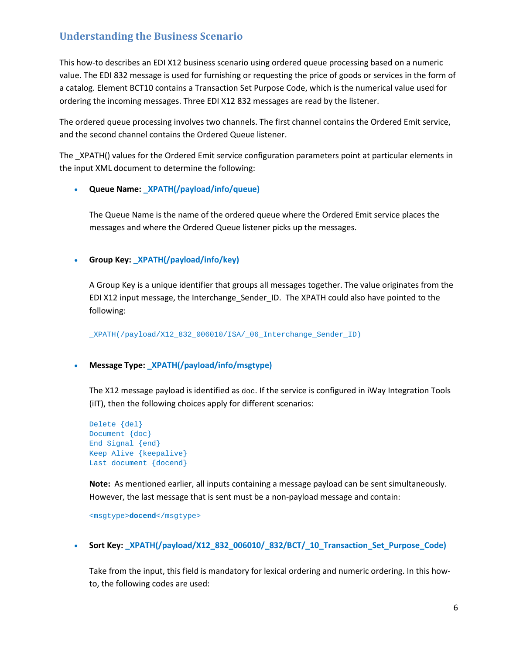## <span id="page-5-0"></span>**Understanding the Business Scenario**

This how-to describes an EDI X12 business scenario using ordered queue processing based on a numeric value. The EDI 832 message is used for furnishing or requesting the price of goods or services in the form of a catalog. Element BCT10 contains a Transaction Set Purpose Code, which is the numerical value used for ordering the incoming messages. Three EDI X12 832 messages are read by the listener.

The ordered queue processing involves two channels. The first channel contains the Ordered Emit service, and the second channel contains the Ordered Queue listener.

The \_XPATH() values for the Ordered Emit service configuration parameters point at particular elements in the input XML document to determine the following:

#### • **Queue Name: \_XPATH(/payload/info/queue)**

The Queue Name is the name of the ordered queue where the Ordered Emit service places the messages and where the Ordered Queue listener picks up the messages.

#### • **Group Key: \_XPATH(/payload/info/key)**

A Group Key is a unique identifier that groups all messages together. The value originates from the EDI X12 input message, the Interchange\_Sender\_ID. The XPATH could also have pointed to the following:

\_XPATH(/payload/X12\_832\_006010/ISA/\_06\_Interchange\_Sender\_ID)

#### • **Message Type: \_XPATH(/payload/info/msgtype)**

The X12 message payload is identified as  $d_{\text{OC}}$ . If the service is configured in iWay Integration Tools (iIT), then the following choices apply for different scenarios:

```
Delete {del}
Document {doc}
End Signal {end}
Keep Alive {keepalive}
Last document {docend}
```
**Note:** As mentioned earlier, all inputs containing a message payload can be sent simultaneously. However, the last message that is sent must be a non-payload message and contain:

```
<msgtype>docend</msgtype>
```
• **Sort Key: \_XPATH(/payload/X12\_832\_006010/\_832/BCT/\_10\_Transaction\_Set\_Purpose\_Code)**

Take from the input, this field is mandatory for lexical ordering and numeric ordering. In this howto, the following codes are used: